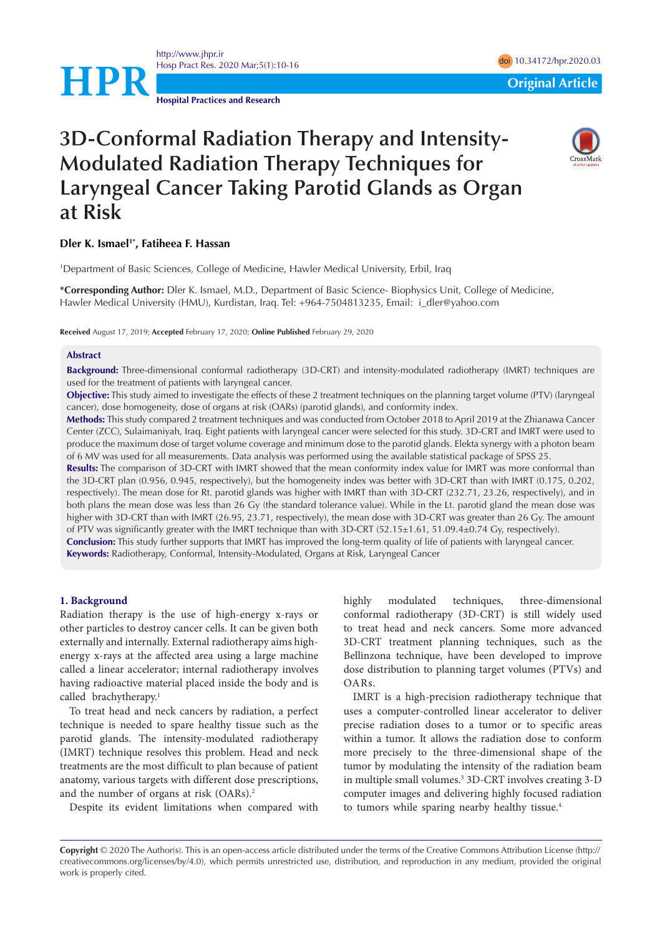

<http://www.jhpr.ir> Hosp Pract Res. 2020 Mar;5(1):10-16 doi [10.34172/hpr.2020.03](https://doi.org/10.34172/hpr.2020.03)

**Hospital Practices and Research**

# **3D-Conformal Radiation Therapy and Intensity-Modulated Radiation Therapy Techniques for Laryngeal Cancer Taking Parotid Glands as Organ at Risk**

# **Dler K. Ismael1\*, Fatiheea F. Hassan**

1 Department of Basic Sciences, College of Medicine, Hawler Medical University, Erbil, Iraq

**\*Corresponding Author:** Dler K. Ismael, M.D., Department of Basic Science- Biophysics Unit, College of Medicine, Hawler Medical University (HMU), Kurdistan, Iraq. Tel: +964-7504813235, Email: i\_dler@yahoo.com

**Received** August 17, 2019; **Accepted** February 17, 2020; **Online Published** February 29, 2020

#### **Abstract**

**Background:** Three-dimensional conformal radiotherapy (3D-CRT) and intensity-modulated radiotherapy (IMRT) techniques are used for the treatment of patients with laryngeal cancer.

**Objective:** This study aimed to investigate the effects of these 2 treatment techniques on the planning target volume (PTV) (laryngeal cancer), dose homogeneity, dose of organs at risk (OARs) (parotid glands), and conformity index.

**Methods:** This study compared 2 treatment techniques and was conducted from October 2018 to April 2019 at the Zhianawa Cancer Center (ZCC), Sulaimaniyah, Iraq. Eight patients with laryngeal cancer were selected for this study. 3D-CRT and IMRT were used to produce the maximum dose of target volume coverage and minimum dose to the parotid glands. Elekta synergy with a photon beam of 6 MV was used for all measurements. Data analysis was performed using the available statistical package of SPSS 25.

**Results:** The comparison of 3D-CRT with IMRT showed that the mean conformity index value for IMRT was more conformal than the 3D-CRT plan (0.956, 0.945, respectively), but the homogeneity index was better with 3D-CRT than with IMRT (0.175, 0.202, respectively). The mean dose for Rt. parotid glands was higher with IMRT than with 3D-CRT (232.71, 23.26, respectively), and in both plans the mean dose was less than 26 Gy (the standard tolerance value). While in the Lt. parotid gland the mean dose was higher with 3D-CRT than with IMRT (26.95, 23.71, respectively), the mean dose with 3D-CRT was greater than 26 Gy. The amount of PTV was significantly greater with the IMRT technique than with 3D-CRT (52.15±1.61, 51.09.4±0.74 Gy, respectively). **Conclusion:** This study further supports that IMRT has improved the long-term quality of life of patients with laryngeal cancer.

**Keywords:** Radiotherapy, Conformal, Intensity-Modulated, Organs at Risk, Laryngeal Cancer

#### **1. Background**

Radiation therapy is the use of high-energy x-rays or other particles to destroy cancer cells. It can be given both externally and internally. External radiotherapy aims highenergy x-rays at the affected area using a large machine called a linear accelerator; internal radiotherapy involves having radioactive material placed inside the body and is called brachytherapy.<sup>1</sup>

To treat head and neck cancers by radiation, a perfect technique is needed to spare healthy tissue such as the parotid glands. The intensity-modulated radiotherapy (IMRT) technique resolves this problem. Head and neck treatments are the most difficult to plan because of patient anatomy, various targets with different dose prescriptions, and the number of organs at risk (OARs).<sup>2</sup>

Despite its evident limitations when compared with

highly modulated techniques, three-dimensional conformal radiotherapy (3D-CRT) is still widely used to treat head and neck cancers. Some more advanced 3D-CRT treatment planning techniques, such as the Bellinzona technique, have been developed to improve dose distribution to planning target volumes (PTVs) and OARs.

IMRT is a high-precision radiotherapy technique that uses a computer-controlled linear accelerator to deliver precise radiation doses to a tumor or to specific areas within a tumor. It allows the radiation dose to conform more precisely to the three-dimensional shape of the tumor by modulating the intensity of the radiation beam in multiple small volumes.<sup>3</sup> 3D-CRT involves creating 3-D computer images and delivering highly focused radiation to tumors while sparing nearby healthy tissue.<sup>4</sup>

**Copyright** © 2020 The Author(s). This is an open-access article distributed under the terms of the Creative Commons Attribution License (http:// creativecommons.org/licenses/by/4.0), which permits unrestricted use, distribution, and reproduction in any medium, provided the original work is properly cited.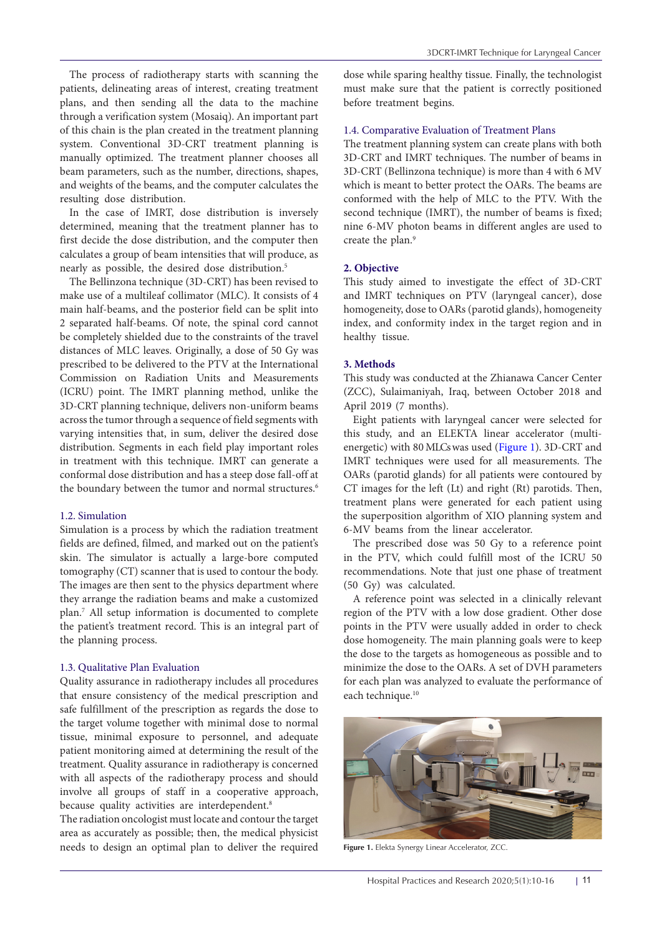The process of radiotherapy starts with scanning the patients, delineating areas of interest, creating treatment plans, and then sending all the data to the machine through a verification system (Mosaiq). An important part of this chain is the plan created in the treatment planning system. Conventional 3D-CRT treatment planning is manually optimized. The treatment planner chooses all beam parameters, such as the number, directions, shapes, and weights of the beams, and the computer calculates the resulting dose distribution.

In the case of IMRT, dose distribution is inversely determined, meaning that the treatment planner has to first decide the dose distribution, and the computer then calculates a group of beam intensities that will produce, as nearly as possible, the desired dose distribution.<sup>5</sup>

The Bellinzona technique (3D-CRT) has been revised to make use of a multileaf collimator (MLC). It consists of 4 main half-beams, and the posterior field can be split into 2 separated half-beams. Of note, the spinal cord cannot be completely shielded due to the constraints of the travel distances of MLC leaves. Originally, a dose of 50 Gy was prescribed to be delivered to the PTV at the International Commission on Radiation Units and Measurements (ICRU) point. The IMRT planning method, unlike the 3D-CRT planning technique, delivers non-uniform beams across the tumor through a sequence of field segments with varying intensities that, in sum, deliver the desired dose distribution. Segments in each field play important roles in treatment with this technique. IMRT can generate a conformal dose distribution and has a steep dose fall-off at the boundary between the tumor and normal structures.<sup>6</sup>

# 1.2. Simulation

Simulation is a process by which the radiation treatment fields are defined, filmed, and marked out on the patient's skin. The simulator is actually a large-bore computed tomography (CT) scanner that is used to contour the body. The images are then sent to the physics department where they arrange the radiation beams and make a customized plan.7 All setup information is documented to complete the patient's treatment record. This is an integral part of the planning process.

#### 1.3. Qualitative Plan Evaluation

Quality assurance in radiotherapy includes all procedures that ensure consistency of the medical prescription and safe fulfillment of the prescription as regards the dose to the target volume together with minimal dose to normal tissue, minimal exposure to personnel, and adequate patient monitoring aimed at determining the result of the treatment. Quality assurance in radiotherapy is concerned with all aspects of the radiotherapy process and should involve all groups of staff in a cooperative approach, because quality activities are interdependent.<sup>8</sup>

The radiation oncologist must locate and contour the target area as accurately as possible; then, the medical physicist needs to design an optimal plan to deliver the required dose while sparing healthy tissue. Finally, the technologist must make sure that the patient is correctly positioned before treatment begins.

#### 1.4. Comparative Evaluation of Treatment Plans

The treatment planning system can create plans with both 3D-CRT and IMRT techniques. The number of beams in 3D-CRT (Bellinzona technique) is more than 4 with 6 MV which is meant to better protect the OARs. The beams are conformed with the help of MLC to the PTV. With the second technique (IMRT), the number of beams is fixed; nine 6-MV photon beams in different angles are used to create the plan.<sup>9</sup>

#### **2. Objective**

This study aimed to investigate the effect of 3D-CRT and IMRT techniques on PTV (laryngeal cancer), dose homogeneity, dose to OARs (parotid glands), homogeneity index, and conformity index in the target region and in healthy tissue.

#### **3. Methods**

This study was conducted at the Zhianawa Cancer Center (ZCC), Sulaimaniyah, Iraq, between October 2018 and April 2019 (7 months).

Eight patients with laryngeal cancer were selected for this study, and an ELEKTA linear accelerator (multienergetic) with 80 MLCs was used [\(Figure 1](#page-1-0)). 3D-CRT and IMRT techniques were used for all measurements. The OARs (parotid glands) for all patients were contoured by CT images for the left (Lt) and right (Rt) parotids. Then, treatment plans were generated for each patient using the superposition algorithm of XIO planning system and 6-MV beams from the linear accelerator.

The prescribed dose was 50 Gy to a reference point in the PTV, which could fulfill most of the ICRU 50 recommendations. Note that just one phase of treatment (50 Gy) was calculated.

A reference point was selected in a clinically relevant region of the PTV with a low dose gradient. Other dose points in the PTV were usually added in order to check dose homogeneity. The main planning goals were to keep the dose to the targets as homogeneous as possible and to minimize the dose to the OARs. A set of DVH parameters for each plan was analyzed to evaluate the performance of each technique.<sup>10</sup>

<span id="page-1-0"></span>

**Figure 1.** Elekta Synergy Linear Accelerator, ZCC.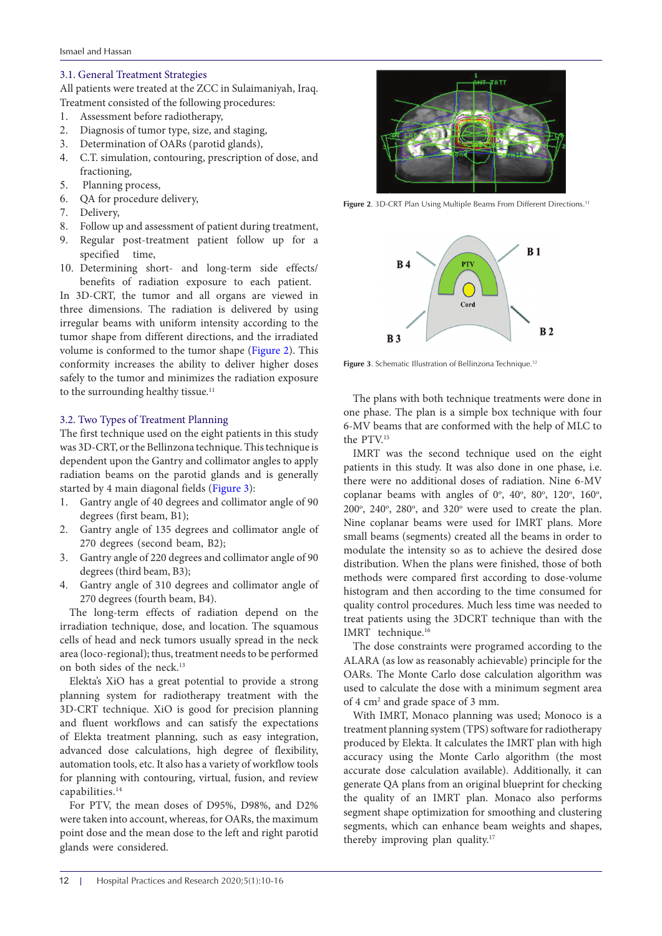# 3.1. General Treatment Strategies

All patients were treated at the ZCC in Sulaimaniyah, Iraq. Treatment consisted of the following procedures:

- 1. Assessment before radiotherapy,
- 2. Diagnosis of tumor type, size, and staging,
- 3. Determination of OARs (parotid glands),
- 4. C.T. simulation, contouring, prescription of dose, and fractioning,
- 5. Planning process,
- 6. QA for procedure delivery,
- 7. Delivery,
- 8. Follow up and assessment of patient during treatment,
- 9. Regular post-treatment patient follow up for a specified time,
- 10. Determining short- and long-term side effects/ benefits of radiation exposure to each patient.

In 3D-CRT, the tumor and all organs are viewed in three dimensions. The radiation is delivered by using irregular beams with uniform intensity according to the tumor shape from different directions, and the irradiated volume is conformed to the tumor shape [\(Figure 2\)](#page-2-0). This conformity increases the ability to deliver higher doses safely to the tumor and minimizes the radiation exposure to the surrounding healthy tissue.<sup>11</sup>

# 3.2. Two Types of Treatment Planning

The first technique used on the eight patients in this study was 3D-CRT, or the Bellinzona technique. This technique is dependent upon the Gantry and collimator angles to apply radiation beams on the parotid glands and is generally started by 4 main diagonal fields ([Figure 3](#page-2-1)):

- 1. Gantry angle of 40 degrees and collimator angle of 90 degrees (first beam, B1);
- 2. Gantry angle of 135 degrees and collimator angle of 270 degrees (second beam, B2);
- 3. Gantry angle of 220 degrees and collimator angle of 90 degrees (third beam, B3);
- 4. Gantry angle of 310 degrees and collimator angle of 270 degrees (fourth beam, B4).

The long-term effects of radiation depend on the irradiation technique, dose, and location. The squamous cells of head and neck tumors usually spread in the neck area (loco-regional); thus, treatment needs to be performed on both sides of the neck.13

Elekta's XiO has a great potential to provide a strong planning system for radiotherapy treatment with the 3D-CRT technique. XiO is good for precision planning and fluent workflows and can satisfy the expectations of Elekta treatment planning, such as easy integration, advanced dose calculations, high degree of flexibility, automation tools, etc. It also has a variety of workflow tools for planning with contouring, virtual, fusion, and review capabilities.14

For PTV, the mean doses of D95%, D98%, and D2% were taken into account, whereas, for OARs, the maximum point dose and the mean dose to the left and right parotid glands were considered.

<span id="page-2-0"></span>

Figure 2. 3D-CRT Plan Using Multiple Beams From Different Directions.<sup>11</sup>

<span id="page-2-1"></span>

Figure 3. Schematic Illustration of Bellinzona Technique.<sup>12</sup>

The plans with both technique treatments were done in one phase. The plan is a simple box technique with four 6-MV beams that are conformed with the help of MLC to the PTV.15

IMRT was the second technique used on the eight patients in this study. It was also done in one phase, i.e. there were no additional doses of radiation. Nine 6-MV coplanar beams with angles of  $0^\circ$ ,  $40^\circ$ ,  $80^\circ$ ,  $120^\circ$ ,  $160^\circ$ ,  $200^\circ$ ,  $240^\circ$ ,  $280^\circ$ , and  $320^\circ$  were used to create the plan. Nine coplanar beams were used for IMRT plans. More small beams (segments) created all the beams in order to modulate the intensity so as to achieve the desired dose distribution. When the plans were finished, those of both methods were compared first according to dose-volume histogram and then according to the time consumed for quality control procedures. Much less time was needed to treat patients using the 3DCRT technique than with the IMRT technique.<sup>16</sup>

The dose constraints were programed according to the ALARA (as low as reasonably achievable) principle for the OARs. The Monte Carlo dose calculation algorithm was used to calculate the dose with a minimum segment area of 4 cm2 and grade space of 3 mm.

With IMRT, Monaco planning was used; Monoco is a treatment planning system (TPS) software for radiotherapy produced by Elekta. It calculates the IMRT plan with high accuracy using the Monte Carlo algorithm (the most accurate dose calculation available). Additionally, it can generate QA plans from an original blueprint for checking the quality of an IMRT plan. Monaco also performs segment shape optimization for smoothing and clustering segments, which can enhance beam weights and shapes, thereby improving plan quality.<sup>17</sup>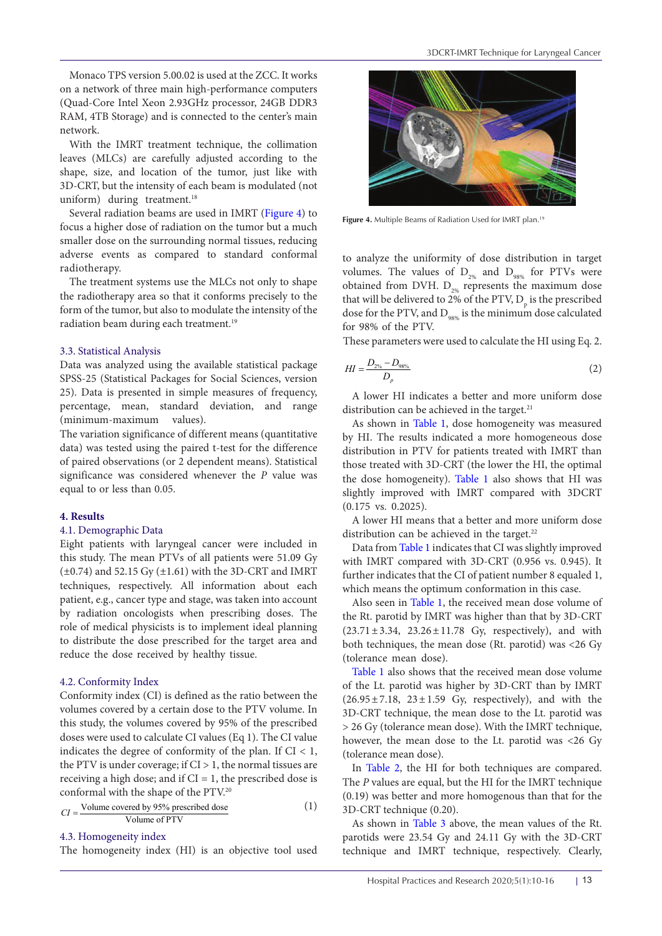Monaco TPS version 5.00.02 is used at the ZCC. It works on a network of three main high-performance computers (Quad-Core Intel Xeon 2.93GHz processor, 24GB DDR3 RAM, 4TB Storage) and is connected to the center's main network.

With the IMRT treatment technique, the collimation leaves (MLCs) are carefully adjusted according to the shape, size, and location of the tumor, just like with 3D-CRT, but the intensity of each beam is modulated (not uniform) during treatment.<sup>18</sup>

Several radiation beams are used in IMRT [\(Figure 4](#page-3-0)) to focus a higher dose of radiation on the tumor but a much smaller dose on the surrounding normal tissues, reducing adverse events as compared to standard conformal radiotherapy.

The treatment systems use the MLCs not only to shape the radiotherapy area so that it conforms precisely to the form of the tumor, but also to modulate the intensity of the radiation beam during each treatment.<sup>19</sup>

# 3.3. Statistical Analysis

Data was analyzed using the available statistical package SPSS-25 (Statistical Packages for Social Sciences, version 25). Data is presented in simple measures of frequency, percentage, mean, standard deviation, and range (minimum-maximum values).

The variation significance of different means (quantitative data) was tested using the paired t-test for the difference of paired observations (or 2 dependent means). Statistical significance was considered whenever the *P* value was equal to or less than 0.05.

# **4. Results**

# 4.1. Demographic Data

Eight patients with laryngeal cancer were included in this study. The mean PTVs of all patients were 51.09 Gy  $(\pm 0.74)$  and 52.15 Gy  $(\pm 1.61)$  with the 3D-CRT and IMRT techniques, respectively. All information about each patient, e.g., cancer type and stage, was taken into account by radiation oncologists when prescribing doses. The role of medical physicists is to implement ideal planning to distribute the dose prescribed for the target area and reduce the dose received by healthy tissue.

#### 4.2. Conformity Index

Conformity index (CI) is defined as the ratio between the volumes covered by a certain dose to the PTV volume. In this study, the volumes covered by 95% of the prescribed doses were used to calculate CI values (Eq 1). The CI value indicates the degree of conformity of the plan. If  $CI < 1$ , the PTV is under coverage; if  $CI > 1$ , the normal tissues are receiving a high dose; and if  $CI = 1$ , the prescribed dose is conformal with the shape of the PTV.20

$$
CI = \frac{\text{Volume covered by 95\% prescribed dose}}{\text{Volume of PTV}}
$$
 (1)

4.3. Homogeneity index

The homogeneity index (HI) is an objective tool used

<span id="page-3-0"></span>

Figure 4. Multiple Beams of Radiation Used for IMRT plan.<sup>19</sup>

to analyze the uniformity of dose distribution in target volumes. The values of  $D_{2\%}$  and  $D_{98\%}$  for PTVs were obtained from DVH.  $D_{2\%}$  represents the maximum dose that will be delivered to 2% of the PTV,  $D_{p}$  is the prescribed dose for the PTV, and  $D_{\text{new}}$  is the minimum dose calculated for 98% of the PTV.

These parameters were used to calculate the HI using Eq. 2.

$$
HI = \frac{D_{2\%} - D_{98\%}}{D_p} \tag{2}
$$

A lower HI indicates a better and more uniform dose distribution can be achieved in the target.<sup>21</sup>

As shown in [Table 1](#page-4-0), dose homogeneity was measured by HI. The results indicated a more homogeneous dose distribution in PTV for patients treated with IMRT than those treated with 3D-CRT (the lower the HI, the optimal the dose homogeneity). [Table 1](#page-4-0) also shows that HI was slightly improved with IMRT compared with 3DCRT (0.175 vs. 0.2025).

A lower HI means that a better and more uniform dose distribution can be achieved in the target.<sup>22</sup>

Data from [Table 1](#page-4-0) indicates that CI was slightly improved with IMRT compared with 3D-CRT (0.956 vs. 0.945). It further indicates that the CI of patient number 8 equaled 1, which means the optimum conformation in this case.

Also seen in [Table 1](#page-4-0), the received mean dose volume of the Rt. parotid by IMRT was higher than that by 3D-CRT (23.71±3.34, 23.26±11.78 Gy, respectively), and with both techniques, the mean dose (Rt. parotid) was <26 Gy (tolerance mean dose).

[Table 1](#page-4-0) also shows that the received mean dose volume of the Lt. parotid was higher by 3D-CRT than by IMRT  $(26.95 \pm 7.18, 23 \pm 1.59)$  Gy, respectively), and with the 3D-CRT technique, the mean dose to the Lt. parotid was > 26 Gy (tolerance mean dose). With the IMRT technique, however, the mean dose to the Lt. parotid was <26 Gy (tolerance mean dose).

In [Table 2,](#page-4-1) the HI for both techniques are compared. The *P* values are equal, but the HI for the IMRT technique (0.19) was better and more homogenous than that for the 3D-CRT technique (0.20).

As shown in [Table 3](#page-4-2) above, the mean values of the Rt. parotids were 23.54 Gy and 24.11 Gy with the 3D-CRT technique and IMRT technique, respectively. Clearly,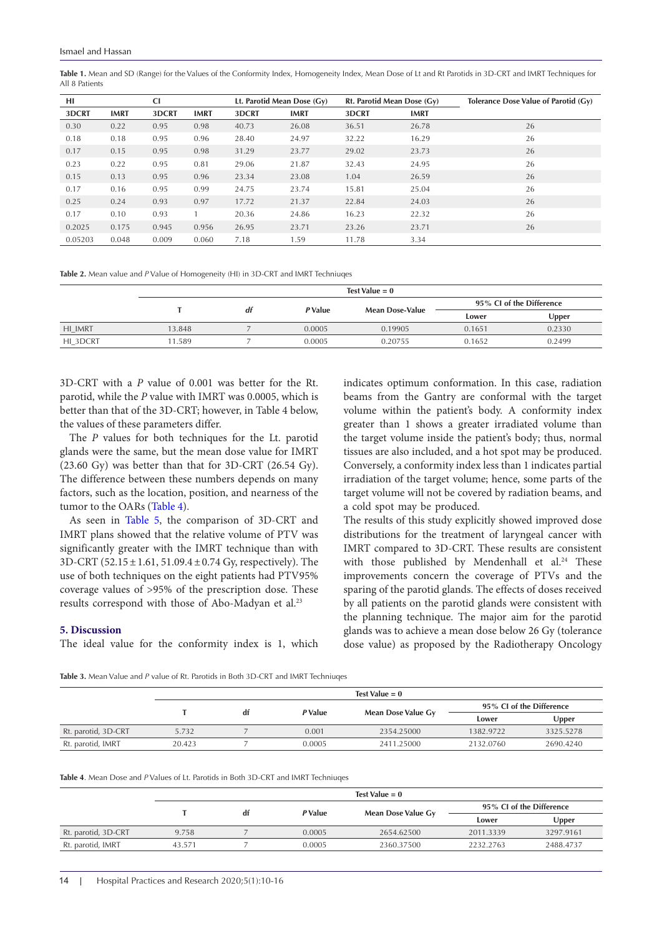<span id="page-4-0"></span>Table 1. Mean and SD (Range) for the Values of the Conformity Index, Homogeneity Index, Mean Dose of Lt and Rt Parotids in 3D-CRT and IMRT Techniques for All 8 Patients

| <b>CI</b><br>HI |             | Lt. Parotid Mean Dose (Gy) |             | Rt. Parotid Mean Dose (Gy) |             | Tolerance Dose Value of Parotid (Gy) |             |    |
|-----------------|-------------|----------------------------|-------------|----------------------------|-------------|--------------------------------------|-------------|----|
| 3DCRT           | <b>IMRT</b> | 3DCRT                      | <b>IMRT</b> | 3DCRT                      | <b>IMRT</b> | 3DCRT                                | <b>IMRT</b> |    |
| 0.30            | 0.22        | 0.95                       | 0.98        | 40.73                      | 26.08       | 36.51                                | 26.78       | 26 |
| 0.18            | 0.18        | 0.95                       | 0.96        | 28.40                      | 24.97       | 32.22                                | 16.29       | 26 |
| 0.17            | 0.15        | 0.95                       | 0.98        | 31.29                      | 23.77       | 29.02                                | 23.73       | 26 |
| 0.23            | 0.22        | 0.95                       | 0.81        | 29.06                      | 21.87       | 32.43                                | 24.95       | 26 |
| 0.15            | 0.13        | 0.95                       | 0.96        | 23.34                      | 23.08       | 1.04                                 | 26.59       | 26 |
| 0.17            | 0.16        | 0.95                       | 0.99        | 24.75                      | 23.74       | 15.81                                | 25.04       | 26 |
| 0.25            | 0.24        | 0.93                       | 0.97        | 17.72                      | 21.37       | 22.84                                | 24.03       | 26 |
| 0.17            | 0.10        | 0.93                       |             | 20.36                      | 24.86       | 16.23                                | 22.32       | 26 |
| 0.2025          | 0.175       | 0.945                      | 0.956       | 26.95                      | 23.71       | 23.26                                | 23.71       | 26 |
| 0.05203         | 0.048       | 0.009                      | 0.060       | 7.18                       | 1.59        | 11.78                                | 3.34        |    |

<span id="page-4-1"></span>**Table 2.** Mean value and *P* Value of Homogeneity (HI) in 3D-CRT and IMRT Techniuqes

|          | Test Value $= 0$ |    |         |                        |                          |        |  |  |
|----------|------------------|----|---------|------------------------|--------------------------|--------|--|--|
|          |                  | df | P Value | <b>Mean Dose-Value</b> | 95% CI of the Difference |        |  |  |
|          |                  |    |         |                        | Lower                    | Upper  |  |  |
| HI_IMRT  | 13.848           |    | 0.0005  | 0.19905                | 0.1651                   | 0.2330 |  |  |
| HI_3DCRT | 11.589           |    | 0.0005  | 0.20755                | 0.1652                   | 0.2499 |  |  |
|          |                  |    |         |                        |                          |        |  |  |

3D-CRT with a *P* value of 0.001 was better for the Rt. parotid, while the *P* value with IMRT was 0.0005, which is better than that of the 3D-CRT; however, in Table 4 below, the values of these parameters differ.

The *P* values for both techniques for the Lt. parotid glands were the same, but the mean dose value for IMRT (23.60 Gy) was better than that for 3D-CRT (26.54 Gy). The difference between these numbers depends on many factors, such as the location, position, and nearness of the tumor to the OARs [\(Table 4\)](#page-4-3).

As seen in [Table 5](#page-5-0), the comparison of 3D-CRT and IMRT plans showed that the relative volume of PTV was significantly greater with the IMRT technique than with 3D-CRT (52.15±1.61, 51.09.4±0.74 Gy, respectively). The use of both techniques on the eight patients had PTV95% coverage values of >95% of the prescription dose. These results correspond with those of Abo-Madyan et al.<sup>23</sup>

#### **5. Discussion**

The ideal value for the conformity index is 1, which

indicates optimum conformation. In this case, radiation beams from the Gantry are conformal with the target volume within the patient's body. A conformity index greater than 1 shows a greater irradiated volume than the target volume inside the patient's body; thus, normal tissues are also included, and a hot spot may be produced. Conversely, a conformity index less than 1 indicates partial irradiation of the target volume; hence, some parts of the target volume will not be covered by radiation beams, and a cold spot may be produced.

The results of this study explicitly showed improved dose distributions for the treatment of laryngeal cancer with IMRT compared to 3D-CRT. These results are consistent with those published by Mendenhall et al.<sup>24</sup> These improvements concern the coverage of PTVs and the sparing of the parotid glands. The effects of doses received by all patients on the parotid glands were consistent with the planning technique. The major aim for the parotid glands was to achieve a mean dose below 26 Gy (tolerance dose value) as proposed by the Radiotherapy Oncology

<span id="page-4-2"></span>**Table 3.** Mean Value and *P* value of Rt. Parotids in Both 3D-CRT and IMRT Techniuqes

|                     | Test Value $= 0$ |    |         |                    |                          |           |  |  |
|---------------------|------------------|----|---------|--------------------|--------------------------|-----------|--|--|
|                     |                  | df | P Value | Mean Dose Value Gy | 95% CI of the Difference |           |  |  |
|                     |                  |    |         |                    | Lower                    | Upper     |  |  |
| Rt. parotid, 3D-CRT | 5.732            |    | 0.001   | 2354.25000         | 1382.9722                | 3325.5278 |  |  |
| Rt. parotid, IMRT   | 20.423           |    | 0.0005  | 2411.25000         | 2132.0760                | 2690.4240 |  |  |

<span id="page-4-3"></span>**Table 4**. Mean Dose and *P* Values of Lt. Parotids in Both 3D-CRT and IMRT Techniuqes

|                     | Test Value $= 0$ |    |         |                    |                          |           |  |  |
|---------------------|------------------|----|---------|--------------------|--------------------------|-----------|--|--|
|                     |                  | df | P Value |                    | 95% CI of the Difference |           |  |  |
|                     |                  |    |         | Mean Dose Value Gy | Lower                    | Upper     |  |  |
| Rt. parotid, 3D-CRT | 9.758            |    | 0.0005  | 2654.62500         | 2011.3339                | 3297.9161 |  |  |
| Rt. parotid, IMRT   | 43.571           |    | 0.0005  | 2360.37500         | 2232.2763                | 2488.4737 |  |  |
|                     |                  |    |         |                    |                          |           |  |  |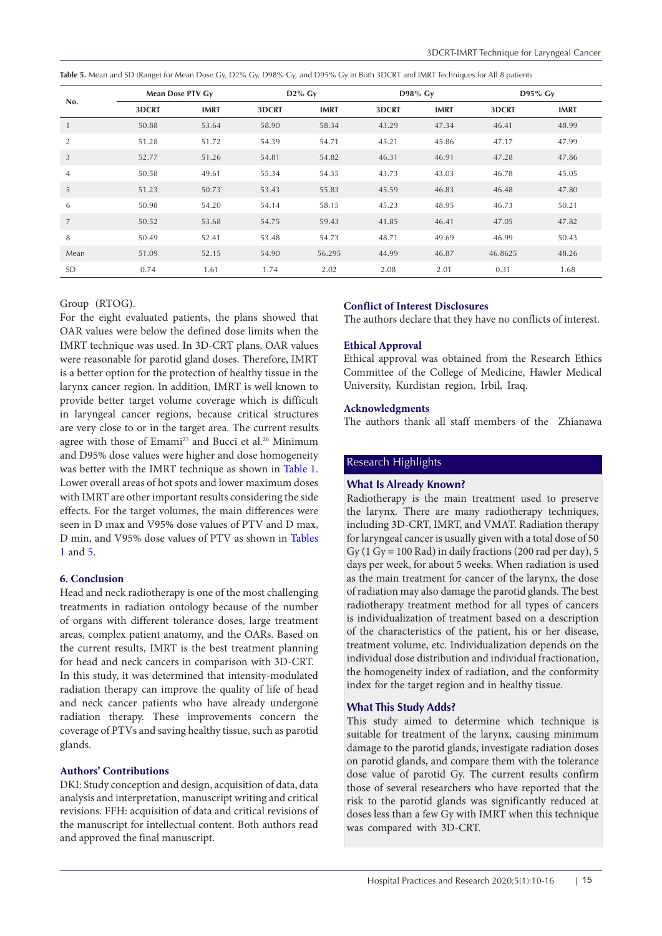| No.            |       | Mean Dose PTV Gy | $D2\%$ Gy |             | D98% Gy |             | D95% Gy |             |
|----------------|-------|------------------|-----------|-------------|---------|-------------|---------|-------------|
|                | 3DCRT | <b>IMRT</b>      | 3DCRT     | <b>IMRT</b> | 3DCRT   | <b>IMRT</b> | 3DCRT   | <b>IMRT</b> |
|                | 50.88 | 53.64            | 58.90     | 58.34       | 43.29   | 47.34       | 46.41   | 48.99       |
| 2              | 51.28 | 51.72            | 54.39     | 54.71       | 45.21   | 45.86       | 47.17   | 47.99       |
| 3              | 52.77 | 51.26            | 54.81     | 54.82       | 46.31   | 46.91       | 47.28   | 47.86       |
| $\overline{4}$ | 50.58 | 49.61            | 55.34     | 54.35       | 43.73   | 43.03       | 46.78   | 45.05       |
| 5              | 51.23 | 50.73            | 53.43     | 55.83       | 45.59   | 46.83       | 46.48   | 47.80       |
| 6              | 50.98 | 54.20            | 54.14     | 58.15       | 45.23   | 48.95       | 46.73   | 50.21       |
| $\overline{7}$ | 50.52 | 53.68            | 54.75     | 59.43       | 41.85   | 46.41       | 47.05   | 47.82       |
| 8              | 50.49 | 52.41            | 53.48     | 54.73       | 48.71   | 49.69       | 46.99   | 50.43       |
| Mean           | 51.09 | 52.15            | 54.90     | 56.295      | 44.99   | 46.87       | 46.8625 | 48.26       |
| <b>SD</b>      | 0.74  | 1.61             | 1.74      | 2.02        | 2.08    | 2.01        | 0.31    | 1.68        |

<span id="page-5-0"></span>**Table 5.** Mean and SD (Range) for Mean Dose Gy, D2% Gy, D98% Gy, and D95% Gy in Both 3DCRT and IMRT Techniques for All 8 patients

# Group (RTOG).

For the eight evaluated patients, the plans showed that OAR values were below the defined dose limits when the IMRT technique was used. In 3D-CRT plans, OAR values were reasonable for parotid gland doses. Therefore, IMRT is a better option for the protection of healthy tissue in the larynx cancer region. In addition, IMRT is well known to provide better target volume coverage which is difficult in laryngeal cancer regions, because critical structures are very close to or in the target area. The current results agree with those of Emami<sup>25</sup> and Bucci et al.<sup>26</sup> Minimum and D95% dose values were higher and dose homogeneity was better with the IMRT technique as shown in [Table 1](#page-4-0). Lower overall areas of hot spots and lower maximum doses with IMRT are other important results considering the side effects. For the target volumes, the main differences were seen in D max and V95% dose values of PTV and D max, D min, and V95% dose values of PTV as shown in [Tables](#page-4-0) [1](#page-4-0) and [5.](#page-5-0)

# **6. Conclusion**

Head and neck radiotherapy is one of the most challenging treatments in radiation ontology because of the number of organs with different tolerance doses, large treatment areas, complex patient anatomy, and the OARs. Based on the current results, IMRT is the best treatment planning for head and neck cancers in comparison with 3D-CRT. In this study, it was determined that intensity-modulated radiation therapy can improve the quality of life of head and neck cancer patients who have already undergone radiation therapy. These improvements concern the coverage of PTVs and saving healthy tissue, such as parotid glands.

# **Authors' Contributions**

DKI: Study conception and design, acquisition of data, data analysis and interpretation, manuscript writing and critical revisions. FFH: acquisition of data and critical revisions of the manuscript for intellectual content. Both authors read and approved the final manuscript.

# **Conflict of Interest Disclosures**

The authors declare that they have no conflicts of interest.

# **Ethical Approval**

Ethical approval was obtained from the Research Ethics Committee of the College of Medicine, Hawler Medical University, Kurdistan region, Irbil, Iraq.

## **Acknowledgments**

The authors thank all staff members of the Zhianawa

# Research Highlights

# **What Is Already Known?**

Radiotherapy is the main treatment used to preserve the larynx. There are many radiotherapy techniques, including 3D-CRT, IMRT, and VMAT. Radiation therapy for laryngeal cancer is usually given with a total dose of 50 Gy (1 Gy = 100 Rad) in daily fractions (200 rad per day), 5 days per week, for about 5 weeks. When radiation is used as the main treatment for cancer of the larynx, the dose of radiation may also damage the parotid glands. The best radiotherapy treatment method for all types of cancers is individualization of treatment based on a description of the characteristics of the patient, his or her disease, treatment volume, etc. Individualization depends on the individual dose distribution and individual fractionation, the homogeneity index of radiation, and the conformity index for the target region and in healthy tissue.

# **What This Study Adds?**

This study aimed to determine which technique is suitable for treatment of the larynx, causing minimum damage to the parotid glands, investigate radiation doses on parotid glands, and compare them with the tolerance dose value of parotid Gy. The current results confirm those of several researchers who have reported that the risk to the parotid glands was significantly reduced at doses less than a few Gy with IMRT when this technique was compared with 3D-CRT.